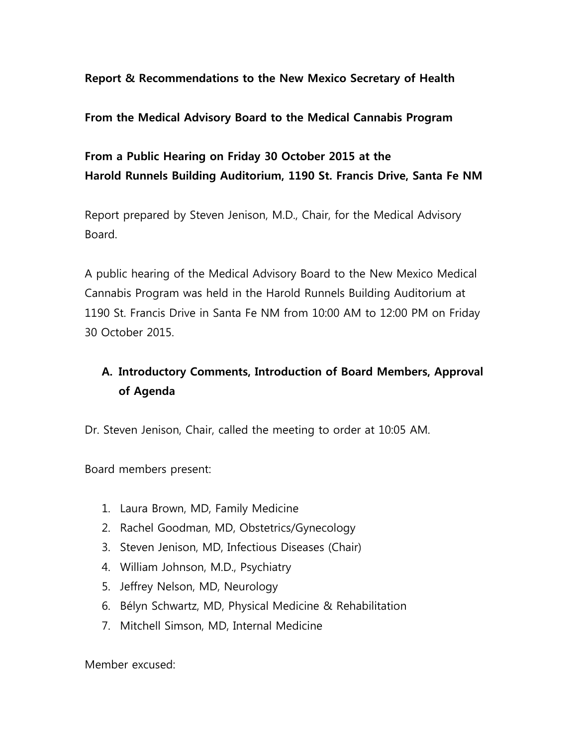### **Report & Recommendations to the New Mexico Secretary of Health**

#### **From the Medical Advisory Board to the Medical Cannabis Program**

## **From a Public Hearing on Friday 30 October 2015 at the Harold Runnels Building Auditorium, 1190 St. Francis Drive, Santa Fe NM**

Report prepared by Steven Jenison, M.D., Chair, for the Medical Advisory Board.

A public hearing of the Medical Advisory Board to the New Mexico Medical Cannabis Program was held in the Harold Runnels Building Auditorium at 1190 St. Francis Drive in Santa Fe NM from 10:00 AM to 12:00 PM on Friday 30 October 2015.

# **A. Introductory Comments, Introduction of Board Members, Approval of Agenda**

Dr. Steven Jenison, Chair, called the meeting to order at 10:05 AM.

Board members present:

- 1. Laura Brown, MD, Family Medicine
- 2. Rachel Goodman, MD, Obstetrics/Gynecology
- 3. Steven Jenison, MD, Infectious Diseases (Chair)
- 4. William Johnson, M.D., Psychiatry
- 5. Jeffrey Nelson, MD, Neurology
- 6. Bélyn Schwartz, MD, Physical Medicine & Rehabilitation
- 7. Mitchell Simson, MD, Internal Medicine

Member excused: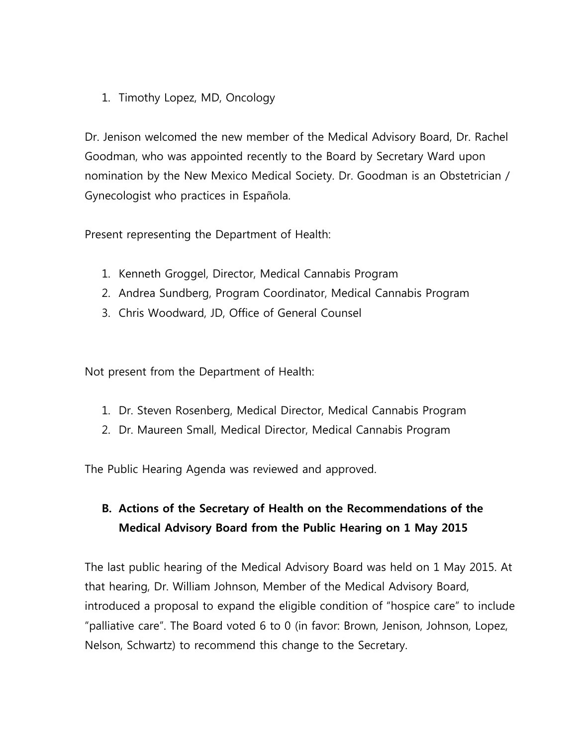1. Timothy Lopez, MD, Oncology

Dr. Jenison welcomed the new member of the Medical Advisory Board, Dr. Rachel Goodman, who was appointed recently to the Board by Secretary Ward upon nomination by the New Mexico Medical Society. Dr. Goodman is an Obstetrician / Gynecologist who practices in Española.

Present representing the Department of Health:

- 1. Kenneth Groggel, Director, Medical Cannabis Program
- 2. Andrea Sundberg, Program Coordinator, Medical Cannabis Program
- 3. Chris Woodward, JD, Office of General Counsel

Not present from the Department of Health:

- 1. Dr. Steven Rosenberg, Medical Director, Medical Cannabis Program
- 2. Dr. Maureen Small, Medical Director, Medical Cannabis Program

The Public Hearing Agenda was reviewed and approved.

# **B. Actions of the Secretary of Health on the Recommendations of the Medical Advisory Board from the Public Hearing on 1 May 2015**

The last public hearing of the Medical Advisory Board was held on 1 May 2015. At that hearing, Dr. William Johnson, Member of the Medical Advisory Board, introduced a proposal to expand the eligible condition of "hospice care" to include "palliative care". The Board voted 6 to 0 (in favor: Brown, Jenison, Johnson, Lopez, Nelson, Schwartz) to recommend this change to the Secretary.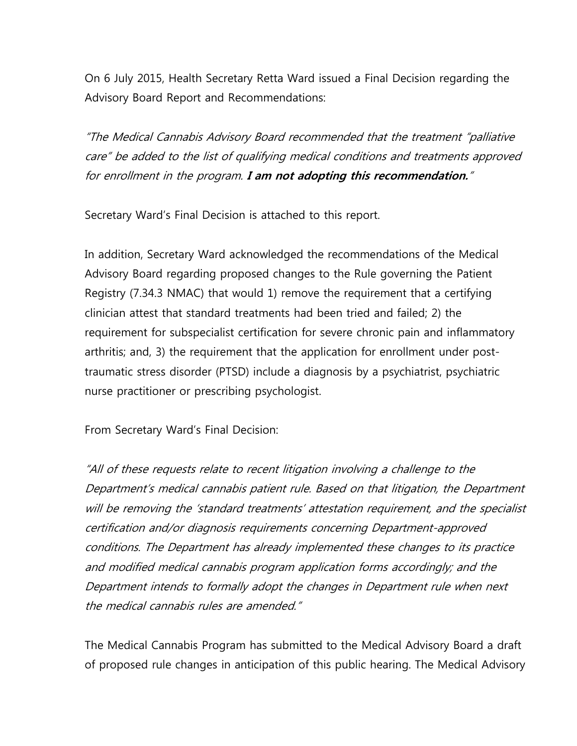On 6 July 2015, Health Secretary Retta Ward issued a Final Decision regarding the Advisory Board Report and Recommendations:

"The Medical Cannabis Advisory Board recommended that the treatment "palliative care" be added to the list of qualifying medical conditions and treatments approved for enrollment in the program. **I am not adopting this recommendation.**"

Secretary Ward's Final Decision is attached to this report.

In addition, Secretary Ward acknowledged the recommendations of the Medical Advisory Board regarding proposed changes to the Rule governing the Patient Registry (7.34.3 NMAC) that would 1) remove the requirement that a certifying clinician attest that standard treatments had been tried and failed; 2) the requirement for subspecialist certification for severe chronic pain and inflammatory arthritis; and, 3) the requirement that the application for enrollment under posttraumatic stress disorder (PTSD) include a diagnosis by a psychiatrist, psychiatric nurse practitioner or prescribing psychologist.

From Secretary Ward's Final Decision:

"All of these requests relate to recent litigation involving a challenge to the Department's medical cannabis patient rule. Based on that litigation, the Department will be removing the 'standard treatments' attestation requirement, and the specialist certification and/or diagnosis requirements concerning Department-approved conditions. The Department has already implemented these changes to its practice and modified medical cannabis program application forms accordingly; and the Department intends to formally adopt the changes in Department rule when next the medical cannabis rules are amended."

The Medical Cannabis Program has submitted to the Medical Advisory Board a draft of proposed rule changes in anticipation of this public hearing. The Medical Advisory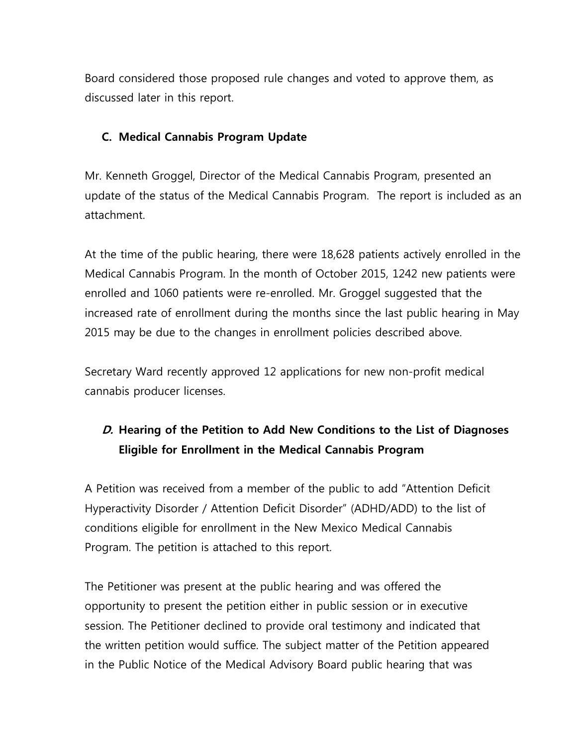Board considered those proposed rule changes and voted to approve them, as discussed later in this report.

### **C. Medical Cannabis Program Update**

Mr. Kenneth Groggel, Director of the Medical Cannabis Program, presented an update of the status of the Medical Cannabis Program. The report is included as an attachment.

At the time of the public hearing, there were 18,628 patients actively enrolled in the Medical Cannabis Program. In the month of October 2015, 1242 new patients were enrolled and 1060 patients were re-enrolled. Mr. Groggel suggested that the increased rate of enrollment during the months since the last public hearing in May 2015 may be due to the changes in enrollment policies described above.

Secretary Ward recently approved 12 applications for new non-profit medical cannabis producer licenses.

# **D. Hearing of the Petition to Add New Conditions to the List of Diagnoses Eligible for Enrollment in the Medical Cannabis Program**

A Petition was received from a member of the public to add "Attention Deficit Hyperactivity Disorder / Attention Deficit Disorder" (ADHD/ADD) to the list of conditions eligible for enrollment in the New Mexico Medical Cannabis Program. The petition is attached to this report.

The Petitioner was present at the public hearing and was offered the opportunity to present the petition either in public session or in executive session. The Petitioner declined to provide oral testimony and indicated that the written petition would suffice. The subject matter of the Petition appeared in the Public Notice of the Medical Advisory Board public hearing that was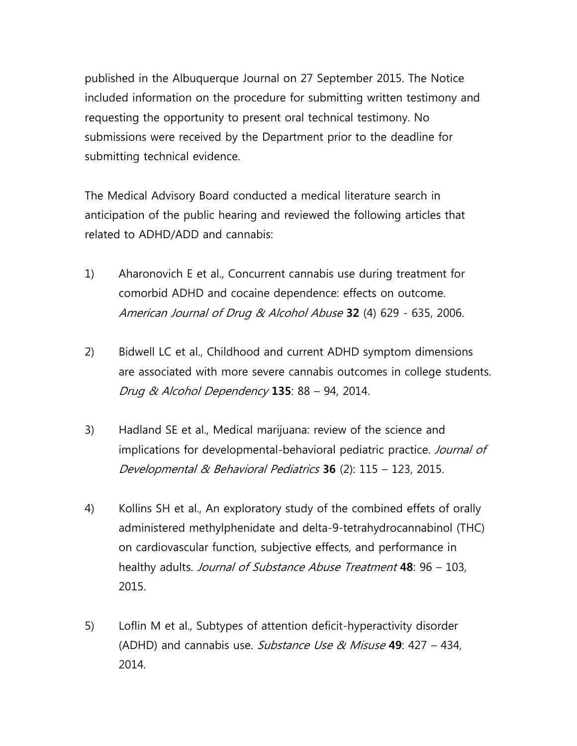published in the Albuquerque Journal on 27 September 2015. The Notice included information on the procedure for submitting written testimony and requesting the opportunity to present oral technical testimony. No submissions were received by the Department prior to the deadline for submitting technical evidence.

The Medical Advisory Board conducted a medical literature search in anticipation of the public hearing and reviewed the following articles that related to ADHD/ADD and cannabis:

- 1) Aharonovich E et al., Concurrent cannabis use during treatment for comorbid ADHD and cocaine dependence: effects on outcome. American Journal of Drug & Alcohol Abuse **32** (4) 629 - 635, 2006.
- 2) Bidwell LC et al., Childhood and current ADHD symptom dimensions are associated with more severe cannabis outcomes in college students. Drug & Alcohol Dependency **135**: 88 – 94, 2014.
- 3) Hadland SE et al., Medical marijuana: review of the science and implications for developmental-behavioral pediatric practice. Journal of Developmental & Behavioral Pediatrics **36** (2): 115 – 123, 2015.
- 4) Kollins SH et al., An exploratory study of the combined effets of orally administered methylphenidate and delta-9-tetrahydrocannabinol (THC) on cardiovascular function, subjective effects, and performance in healthy adults. Journal of Substance Abuse Treatment **48**: 96 – 103, 2015.
- 5) Loflin M et al., Subtypes of attention deficit-hyperactivity disorder (ADHD) and cannabis use. Substance Use & Misuse **49**: 427 – 434, 2014.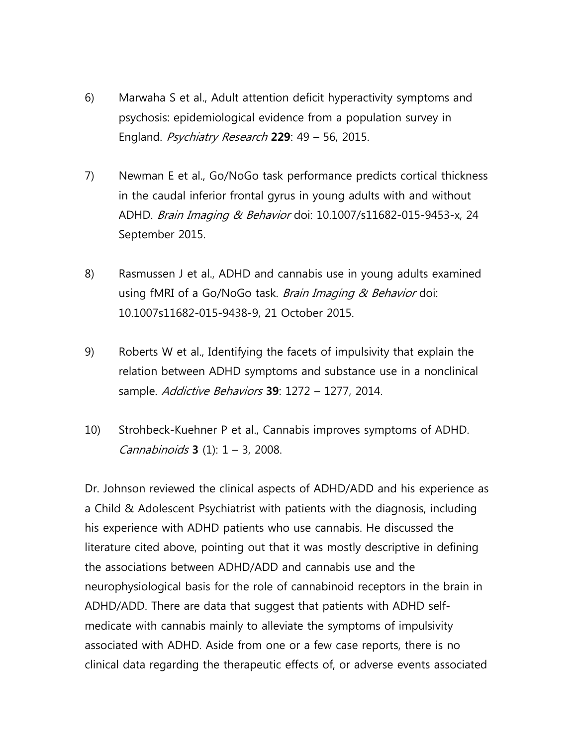- 6) Marwaha S et al., Adult attention deficit hyperactivity symptoms and psychosis: epidemiological evidence from a population survey in England. Psychiatry Research **229**: 49 – 56, 2015.
- 7) Newman E et al., Go/NoGo task performance predicts cortical thickness in the caudal inferior frontal gyrus in young adults with and without ADHD. Brain Imaging & Behavior doi: 10.1007/s11682-015-9453-x, 24 September 2015.
- 8) Rasmussen J et al., ADHD and cannabis use in young adults examined using fMRI of a Go/NoGo task. *Brain Imaging & Behavior* doi: 10.1007s11682-015-9438-9, 21 October 2015.
- 9) Roberts W et al., Identifying the facets of impulsivity that explain the relation between ADHD symptoms and substance use in a nonclinical sample. Addictive Behaviors **39**: 1272 – 1277, 2014.
- 10) Strohbeck-Kuehner P et al., Cannabis improves symptoms of ADHD. Cannabinoids **3** (1): 1 – 3, 2008.

Dr. Johnson reviewed the clinical aspects of ADHD/ADD and his experience as a Child & Adolescent Psychiatrist with patients with the diagnosis, including his experience with ADHD patients who use cannabis. He discussed the literature cited above, pointing out that it was mostly descriptive in defining the associations between ADHD/ADD and cannabis use and the neurophysiological basis for the role of cannabinoid receptors in the brain in ADHD/ADD. There are data that suggest that patients with ADHD selfmedicate with cannabis mainly to alleviate the symptoms of impulsivity associated with ADHD. Aside from one or a few case reports, there is no clinical data regarding the therapeutic effects of, or adverse events associated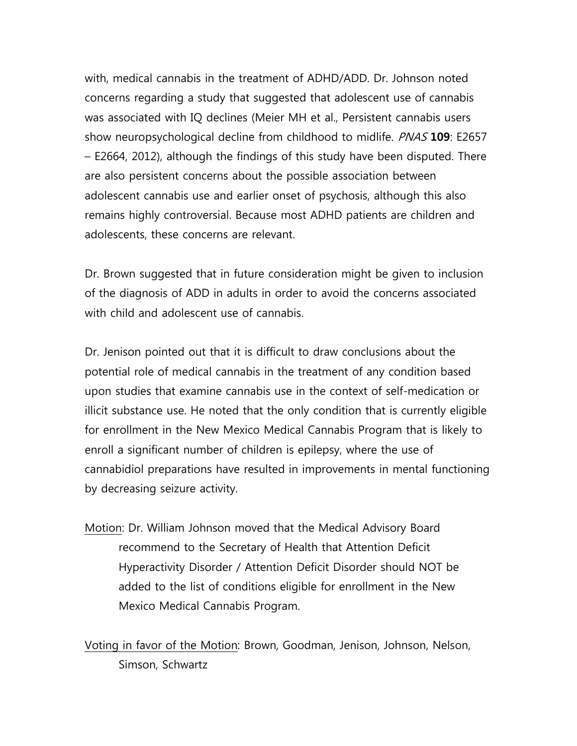with, medical cannabis in the treatment of ADHD/ADD. Dr. Johnson noted concerns regarding a study that suggested that adolescent use of cannabis was associated with IQ declines (Meier MH et al., Persistent cannabis users show neuropsychological decline from childhood to midlife. PNAS **109**: E2657 – E2664, 2012), although the findings of this study have been disputed. There are also persistent concerns about the possible association between adolescent cannabis use and earlier onset of psychosis, although this also remains highly controversial. Because most ADHD patients are children and adolescents, these concerns are relevant.

Dr. Brown suggested that in future consideration might be given to inclusion of the diagnosis of ADD in adults in order to avoid the concerns associated with child and adolescent use of cannabis.

Dr. Jenison pointed out that it is difficult to draw conclusions about the potential role of medical cannabis in the treatment of any condition based upon studies that examine cannabis use in the context of self-medication or illicit substance use. He noted that the only condition that is currently eligible for enrollment in the New Mexico Medical Cannabis Program that is likely to enroll a significant number of children is epilepsy, where the use of cannabidiol preparations have resulted in improvements in mental functioning by decreasing seizure activity.

Motion: Dr. William Johnson moved that the Medical Advisory Board recommend to the Secretary of Health that Attention Deficit Hyperactivity Disorder / Attention Deficit Disorder should NOT be added to the list of conditions eligible for enrollment in the New Mexico Medical Cannabis Program.

Voting in favor of the Motion: Brown, Goodman, Jenison, Johnson, Nelson, Simson, Schwartz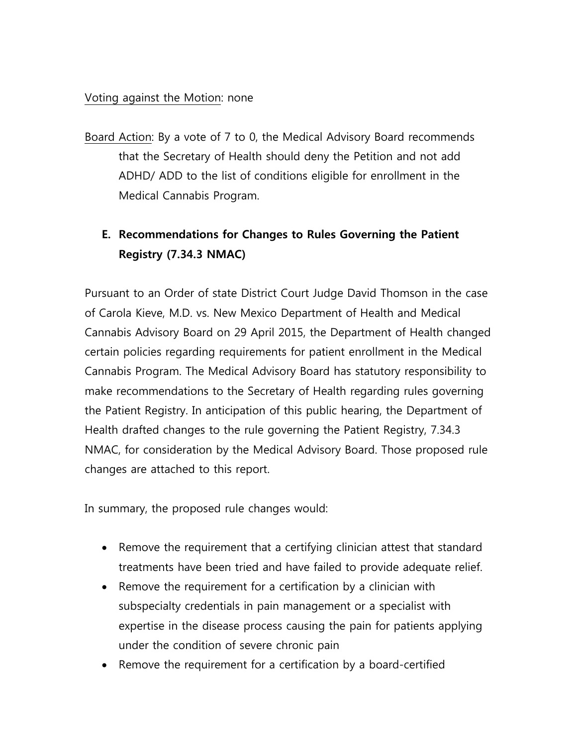### Voting against the Motion: none

Board Action: By a vote of 7 to 0, the Medical Advisory Board recommends that the Secretary of Health should deny the Petition and not add ADHD/ ADD to the list of conditions eligible for enrollment in the Medical Cannabis Program.

# **E. Recommendations for Changes to Rules Governing the Patient Registry (7.34.3 NMAC)**

Pursuant to an Order of state District Court Judge David Thomson in the case of Carola Kieve, M.D. vs. New Mexico Department of Health and Medical Cannabis Advisory Board on 29 April 2015, the Department of Health changed certain policies regarding requirements for patient enrollment in the Medical Cannabis Program. The Medical Advisory Board has statutory responsibility to make recommendations to the Secretary of Health regarding rules governing the Patient Registry. In anticipation of this public hearing, the Department of Health drafted changes to the rule governing the Patient Registry, 7.34.3 NMAC, for consideration by the Medical Advisory Board. Those proposed rule changes are attached to this report.

In summary, the proposed rule changes would:

- Remove the requirement that a certifying clinician attest that standard treatments have been tried and have failed to provide adequate relief.
- Remove the requirement for a certification by a clinician with subspecialty credentials in pain management or a specialist with expertise in the disease process causing the pain for patients applying under the condition of severe chronic pain
- Remove the requirement for a certification by a board-certified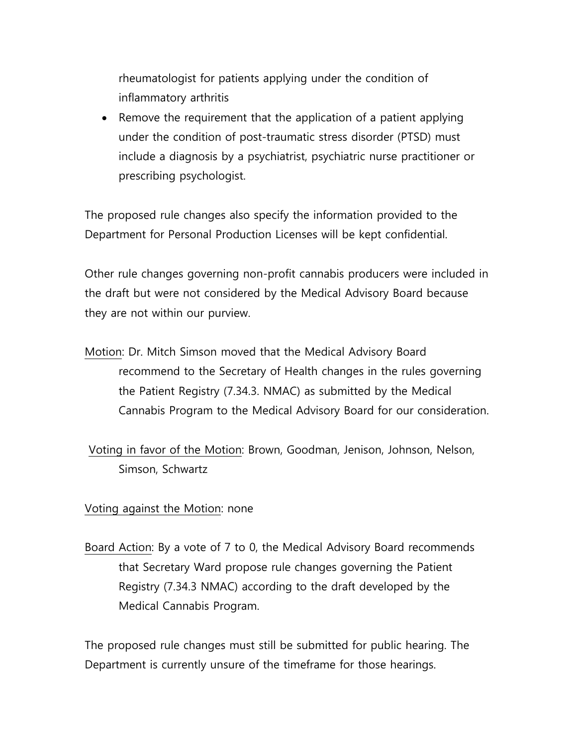rheumatologist for patients applying under the condition of inflammatory arthritis

• Remove the requirement that the application of a patient applying under the condition of post-traumatic stress disorder (PTSD) must include a diagnosis by a psychiatrist, psychiatric nurse practitioner or prescribing psychologist.

The proposed rule changes also specify the information provided to the Department for Personal Production Licenses will be kept confidential.

Other rule changes governing non-profit cannabis producers were included in the draft but were not considered by the Medical Advisory Board because they are not within our purview.

- Motion: Dr. Mitch Simson moved that the Medical Advisory Board recommend to the Secretary of Health changes in the rules governing the Patient Registry (7.34.3. NMAC) as submitted by the Medical Cannabis Program to the Medical Advisory Board for our consideration.
- Voting in favor of the Motion: Brown, Goodman, Jenison, Johnson, Nelson, Simson, Schwartz

#### Voting against the Motion: none

Board Action: By a vote of 7 to 0, the Medical Advisory Board recommends that Secretary Ward propose rule changes governing the Patient Registry (7.34.3 NMAC) according to the draft developed by the Medical Cannabis Program.

The proposed rule changes must still be submitted for public hearing. The Department is currently unsure of the timeframe for those hearings.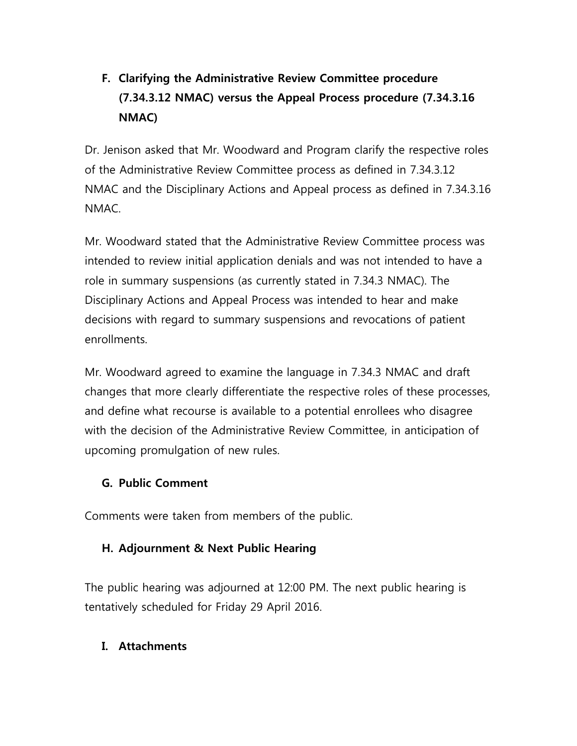# **F. Clarifying the Administrative Review Committee procedure (7.34.3.12 NMAC) versus the Appeal Process procedure (7.34.3.16 NMAC)**

Dr. Jenison asked that Mr. Woodward and Program clarify the respective roles of the Administrative Review Committee process as defined in 7.34.3.12 NMAC and the Disciplinary Actions and Appeal process as defined in 7.34.3.16 NMAC.

Mr. Woodward stated that the Administrative Review Committee process was intended to review initial application denials and was not intended to have a role in summary suspensions (as currently stated in 7.34.3 NMAC). The Disciplinary Actions and Appeal Process was intended to hear and make decisions with regard to summary suspensions and revocations of patient enrollments.

Mr. Woodward agreed to examine the language in 7.34.3 NMAC and draft changes that more clearly differentiate the respective roles of these processes, and define what recourse is available to a potential enrollees who disagree with the decision of the Administrative Review Committee, in anticipation of upcoming promulgation of new rules.

### **G. Public Comment**

Comments were taken from members of the public.

### **H. Adjournment & Next Public Hearing**

The public hearing was adjourned at 12:00 PM. The next public hearing is tentatively scheduled for Friday 29 April 2016.

### **I. Attachments**